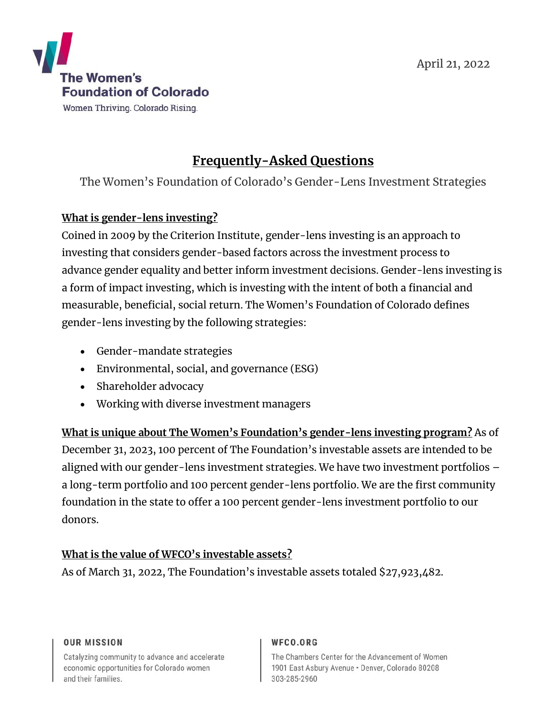

Women Thriving. Colorado Rising.

# **Frequently-Asked Questions**

The Women's Foundation of Colorado's Gender-Lens Investment Strategies

### **What is gender-lens investing?**

Coined in 2009 by the Criterion Institute, gender-lens investing is an approach to investing that considers gender-based factors across the investment process to advance gender equality and better inform investment decisions. Gender-lens investing is a form of impact investing, which is investing with the intent of both a financial and measurable, beneficial, social return. The Women's Foundation of Colorado defines gender-lens investing by the following strategies:

- Gender-mandate strategies
- Environmental, social, and governance (ESG)
- Shareholder advocacy
- Working with diverse investment managers

**What is unique about The Women's Foundation's gender-lens investing program?** As of December 31, 2023, 100 percent of The Foundation's investable assets are intended to be aligned with our gender-lens investment strategies. We have two investment portfolios – a long-term portfolio and 100 percent gender-lens portfolio. We are the first community foundation in the state to offer a 100 percent gender-lens investment portfolio to our donors.

### **What is the value of WFCO's investable assets?**

As of March 31, 2022, The Foundation's investable assets totaled \$27,923,482.

#### **OUR MISSION**

Catalyzing community to advance and accelerate economic opportunities for Colorado women and their families.

#### WFCO.ORG

The Chambers Center for the Advancement of Women 1901 East Asbury Avenue · Denver, Colorado 80208 303-285-2960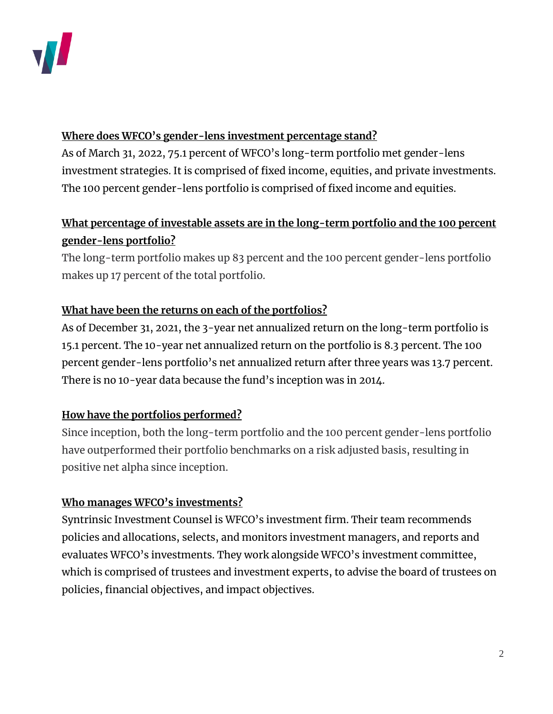

#### **Where does WFCO's gender-lens investment percentage stand?**

As of March 31, 2022, 75.1 percent of WFCO's long-term portfolio met gender-lens investment strategies. It is comprised of fixed income, equities, and private investments. The 100 percent gender-lens portfolio is comprised of fixed income and equities.

# **What percentage of investable assets are in the long-term portfolio and the 100 percent gender-lens portfolio?**

The long-term portfolio makes up 83 percent and the 100 percent gender-lens portfolio makes up 17 percent of the total portfolio.

### **What have been the returns on each of the portfolios?**

As of December 31, 2021, the 3-year net annualized return on the long-term portfolio is 15.1 percent. The 10-year net annualized return on the portfolio is 8.3 percent. The 100 percent gender-lens portfolio's net annualized return after three years was 13.7 percent. There is no 10-year data because the fund's inception was in 2014.

### **How have the portfolios performed?**

Since inception, both the long-term portfolio and the 100 percent gender-lens portfolio have outperformed their portfolio benchmarks on a risk adjusted basis, resulting in positive net alpha since inception.

### **Who manages WFCO's investments?**

Syntrinsic Investment Counsel is WFCO's investment firm. Their team recommends policies and allocations, selects, and monitors investment managers, and reports and evaluates WFCO's investments. They work alongside WFCO's investment committee, which is comprised of trustees and investment experts, to advise the board of trustees on policies, financial objectives, and impact objectives.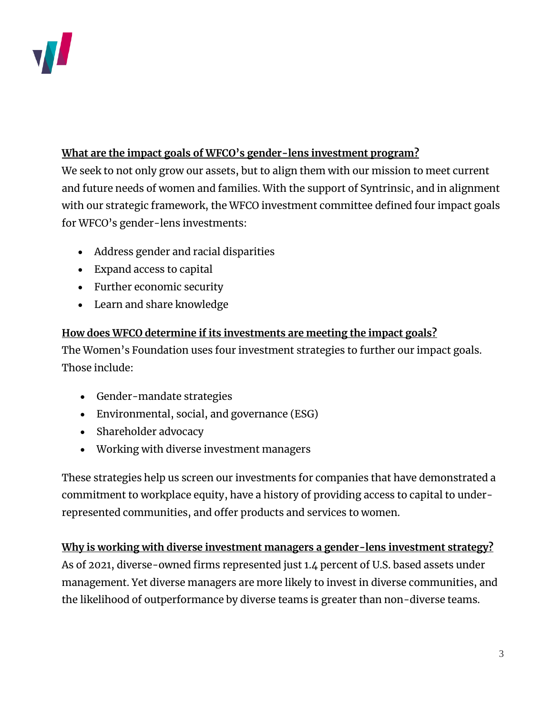

### **What are the impact goals of WFCO's gender-lens investment program?**

We seek to not only grow our assets, but to align them with our mission to meet current and future needs of women and families. With the support of Syntrinsic, and in alignment with our strategic framework, the WFCO investment committee defined four impact goals for WFCO's gender-lens investments:

- Address gender and racial disparities
- Expand access to capital
- Further economic security
- Learn and share knowledge

### **How does WFCO determine if its investments are meeting the impact goals?**

The Women's Foundation uses four investment strategies to further our impact goals. Those include:

- Gender-mandate strategies
- Environmental, social, and governance (ESG)
- Shareholder advocacy
- Working with diverse investment managers

These strategies help us screen our investments for companies that have demonstrated a commitment to workplace equity, have a history of providing access to capital to underrepresented communities, and offer products and services to women.

**Why is working with diverse investment managers a gender-lens investment strategy?** As of 2021, diverse-owned firms represented just 1.4 percent of U.S. based assets under management. Yet diverse managers are more likely to invest in diverse communities, and the likelihood of outperformance by diverse teams is greater than non-diverse teams.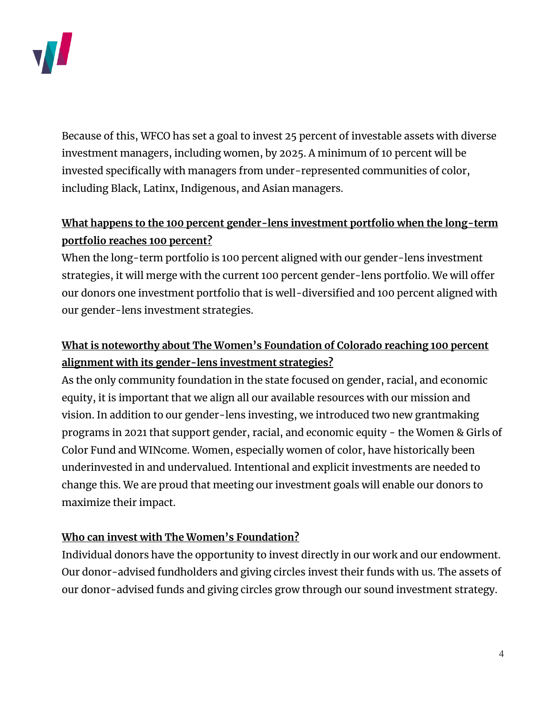

Because of this, WFCO has set a goal to invest 25 percent of investable assets with diverse investment managers, including women, by 2025. A minimum of 10 percent will be invested specifically with managers from under-represented communities of color, including Black, Latinx, Indigenous, and Asian managers.

## **What happens to the 100 percent gender-lens investment portfolio when the long-term portfolio reaches 100 percent?**

When the long-term portfolio is 100 percent aligned with our gender-lens investment strategies, it will merge with the current 100 percent gender-lens portfolio. We will offer our donors one investment portfolio that is well-diversified and 100 percent aligned with our gender-lens investment strategies.

# **What is noteworthy about The Women's Foundation of Colorado reaching 100 percent alignment with its gender-lens investment strategies?**

As the only community foundation in the state focused on gender, racial, and economic equity, it is important that we align all our available resources with our mission and vision. In addition to our gender-lens investing, we introduced two new grantmaking programs in 2021 that support gender, racial, and economic equity - the Women & Girls of Color Fund and WINcome. Women, especially women of color, have historically been underinvested in and undervalued. Intentional and explicit investments are needed to change this. We are proud that meeting our investment goals will enable our donors to maximize their impact.

### **Who can invest with The Women's Foundation?**

Individual donors have the opportunity to invest directly in our work and our endowment. Our donor-advised fundholders and giving circles invest their funds with us. The assets of our donor-advised funds and giving circles grow through our sound investment strategy.